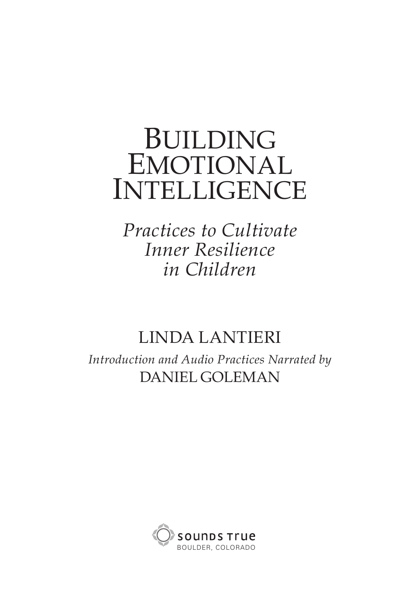# **BUILDING EMOTIONAL INTELLIGENCE**

*Practices to Cultivate Inner Resilience in Children*

### LINDA LANTIERI

*Introduction and Audio Practices Narrated by* DANIEL GOLEMAN

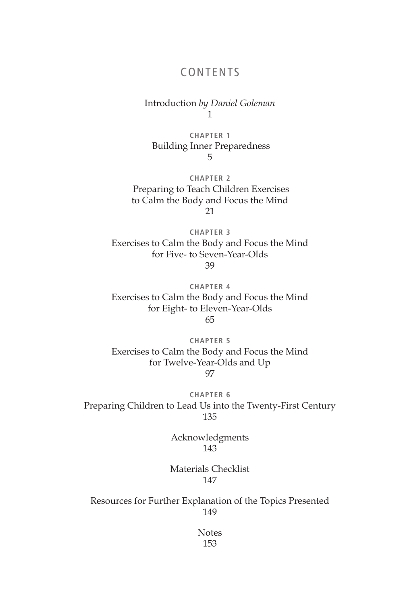#### CONTENTS

Introduction *by Daniel Goleman* 1

**CHAPTER 1** Building Inner Preparedness 5

**CHAPTER 2** Preparing to Teach Children Exercises to Calm the Body and Focus the Mind 21

**CHAPTER 3** Exercises to Calm the Body and Focus the Mind for Five- to Seven-Year-Olds 39

**CHAPTER 4** Exercises to Calm the Body and Focus the Mind for Eight- to Eleven-Year-Olds 65

**CHAPTER 5** Exercises to Calm the Body and Focus the Mind for Twelve-Year-Olds and Up 97

**CHAPTER 6** Preparing Children to Lead Us into the Twenty-First Century 135

> Acknowledgments 143

Materials Checklist 147

Resources for Further Explanation of the Topics Presented 149

> Notes 153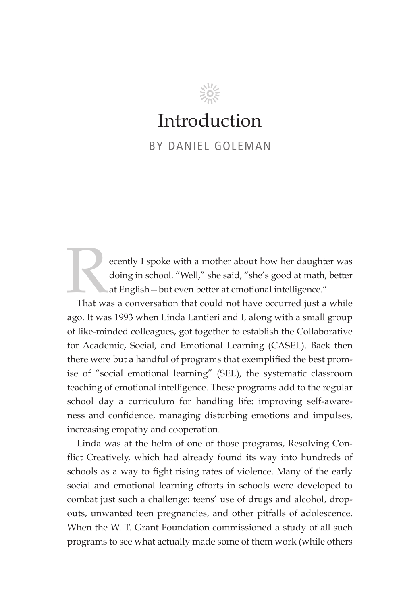# Introduction

 $\frac{200}{2000}$ 

BY DANIEL GOLEMAN

ecently I spoke with a mother about how her daughter was doing in school. "Well," she said, "she's good at math, better at English—but even better at emotional intelligence."

That was a conversation that could not have occurred just a while ago. It was 1993 when Linda Lantieri and I, along with a small group of like-minded colleagues, got together to establish the Collaborative for Academic, Social, and Emotional Learning (CASEL). Back then there were but a handful of programs that exemplified the best promise of "social emotional learning" (SEL), the systematic classroom teaching of emotional intelligence. These programs add to the regular school day a curriculum for handling life: improving self-awareness and confidence, managing disturbing emotions and impulses, increasing empathy and cooperation.

Linda was at the helm of one of those programs, Resolving Conflict Creatively, which had already found its way into hundreds of schools as a way to fight rising rates of violence. Many of the early social and emotional learning efforts in schools were developed to combat just such a challenge: teens' use of drugs and alcohol, dropouts, unwanted teen pregnancies, and other pitfalls of adolescence. When the W. T. Grant Foundation commissioned a study of all such programs to see what actually made some of them work (while others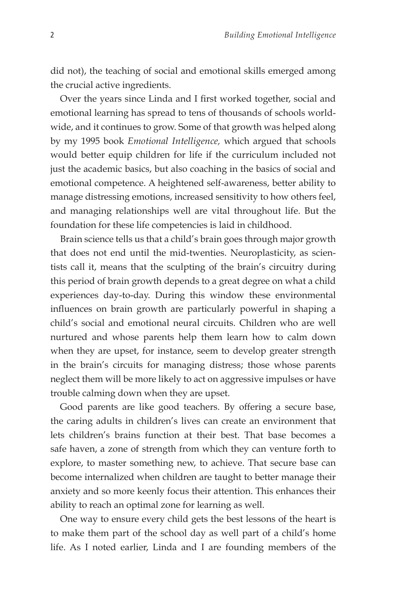did not), the teaching of social and emotional skills emerged among the crucial active ingredients.

Over the years since Linda and I first worked together, social and emotional learning has spread to tens of thousands of schools worldwide, and it continues to grow. Some of that growth was helped along by my 1995 book *Emotional Intelligence,* which argued that schools would better equip children for life if the curriculum included not just the academic basics, but also coaching in the basics of social and emotional competence. A heightened self-awareness, better ability to manage distressing emotions, increased sensitivity to how others feel, and managing relationships well are vital throughout life. But the foundation for these life competencies is laid in childhood.

Brain science tells us that a child's brain goes through major growth that does not end until the mid-twenties. Neuroplasticity, as scientists call it, means that the sculpting of the brain's circuitry during this period of brain growth depends to a great degree on what a child experiences day-to-day. During this window these environmental influences on brain growth are particularly powerful in shaping a child's social and emotional neural circuits. Children who are well nurtured and whose parents help them learn how to calm down when they are upset, for instance, seem to develop greater strength in the brain's circuits for managing distress; those whose parents neglect them will be more likely to act on aggressive impulses or have trouble calming down when they are upset.

Good parents are like good teachers. By offering a secure base, the caring adults in children's lives can create an environment that lets children's brains function at their best. That base becomes a safe haven, a zone of strength from which they can venture forth to explore, to master something new, to achieve. That secure base can become internalized when children are taught to better manage their anxiety and so more keenly focus their attention. This enhances their ability to reach an optimal zone for learning as well.

One way to ensure every child gets the best lessons of the heart is to make them part of the school day as well part of a child's home life. As I noted earlier, Linda and I are founding members of the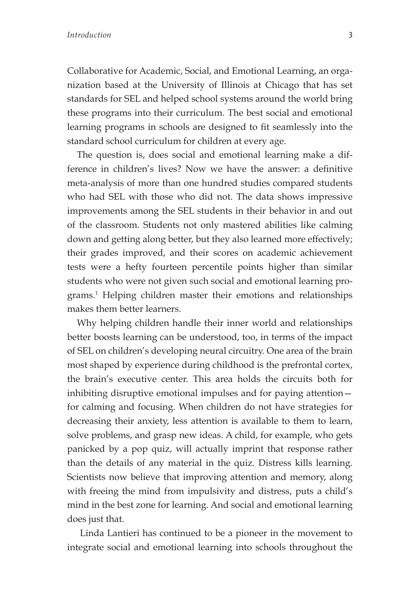Collaborative for Academic, Social, and Emotional Learning, an organization based at the University of Illinois at Chicago that has set standards for SEL and helped school systems around the world bring these programs into their curriculum. The best social and emotional learning programs in schools are designed to fit seamlessly into the standard school curriculum for children at every age.

The question is, does social and emotional learning make a difference in children's lives? Now we have the answer: a definitive meta-analysis of more than one hundred studies compared students who had SEL with those who did not. The data shows impressive improvements among the SEL students in their behavior in and out of the classroom. Students not only mastered abilities like calming down and getting along better, but they also learned more effectively; their grades improved, and their scores on academic achievement tests were a hefty fourteen percentile points higher than similar students who were not given such social and emotional learning programs.1 Helping children master their emotions and relationships makes them better learners.

Why helping children handle their inner world and relationships better boosts learning can be understood, too, in terms of the impact of SEL on children's developing neural circuitry. One area of the brain most shaped by experience during childhood is the prefrontal cortex, the brain's executive center. This area holds the circuits both for inhibiting disruptive emotional impulses and for paying attention for calming and focusing. When children do not have strategies for decreasing their anxiety, less attention is available to them to learn, solve problems, and grasp new ideas. A child, for example, who gets panicked by a pop quiz, will actually imprint that response rather than the details of any material in the quiz. Distress kills learning. Scientists now believe that improving attention and memory, along with freeing the mind from impulsivity and distress, puts a child's mind in the best zone for learning. And social and emotional learning does just that.

 Linda Lantieri has continued to be a pioneer in the movement to integrate social and emotional learning into schools throughout the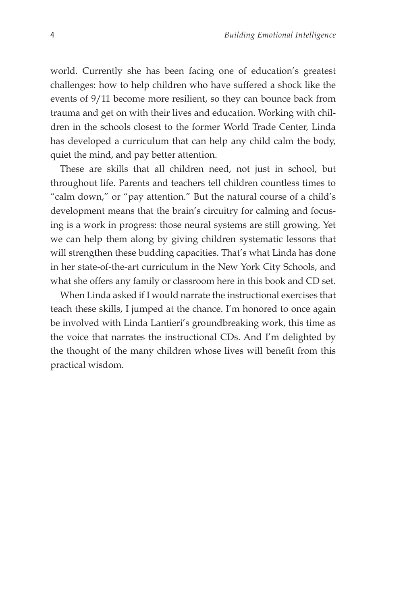world. Currently she has been facing one of education's greatest challenges: how to help children who have suffered a shock like the events of 9/11 become more resilient, so they can bounce back from trauma and get on with their lives and education. Working with children in the schools closest to the former World Trade Center, Linda has developed a curriculum that can help any child calm the body, quiet the mind, and pay better attention.

These are skills that all children need, not just in school, but throughout life. Parents and teachers tell children countless times to "calm down," or "pay attention." But the natural course of a child's development means that the brain's circuitry for calming and focusing is a work in progress: those neural systems are still growing. Yet we can help them along by giving children systematic lessons that will strengthen these budding capacities. That's what Linda has done in her state-of-the-art curriculum in the New York City Schools, and what she offers any family or classroom here in this book and CD set.

When Linda asked if I would narrate the instructional exercises that teach these skills, I jumped at the chance. I'm honored to once again be involved with Linda Lantieri's groundbreaking work, this time as the voice that narrates the instructional CDs. And I'm delighted by the thought of the many children whose lives will benefit from this practical wisdom.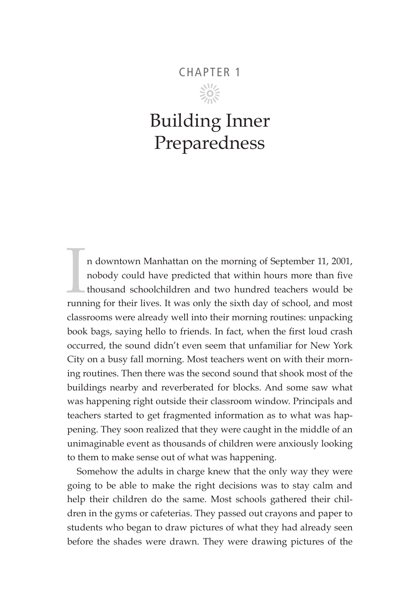### CHAPTER 1

 $\frac{5}{205}$ 

## Building Inner Preparedness

In downtown Manhattan on the morning of September 11, 2001, nobody could have predicted that within hours more than five thousand schoolchildren and two hundred teachers would be running for their lives. It was only the si n downtown Manhattan on the morning of September 11, 2001, nobody could have predicted that within hours more than five thousand schoolchildren and two hundred teachers would be classrooms were already well into their morning routines: unpacking book bags, saying hello to friends. In fact, when the first loud crash occurred, the sound didn't even seem that unfamiliar for New York City on a busy fall morning. Most teachers went on with their morning routines. Then there was the second sound that shook most of the buildings nearby and reverberated for blocks. And some saw what was happening right outside their classroom window. Principals and teachers started to get fragmented information as to what was happening. They soon realized that they were caught in the middle of an unimaginable event as thousands of children were anxiously looking to them to make sense out of what was happening.

Somehow the adults in charge knew that the only way they were going to be able to make the right decisions was to stay calm and help their children do the same. Most schools gathered their children in the gyms or cafeterias. They passed out crayons and paper to students who began to draw pictures of what they had already seen before the shades were drawn. They were drawing pictures of the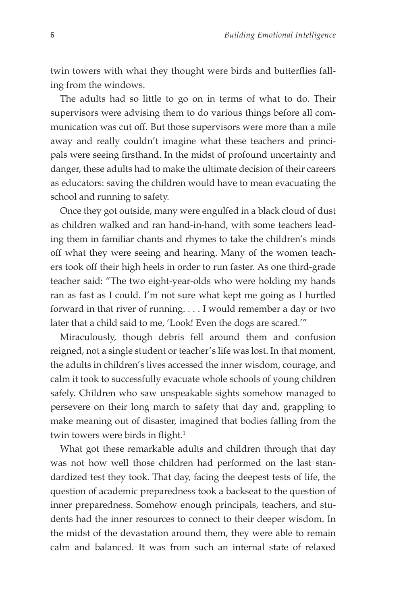twin towers with what they thought were birds and butterflies falling from the windows.

The adults had so little to go on in terms of what to do. Their supervisors were advising them to do various things before all communication was cut off. But those supervisors were more than a mile away and really couldn't imagine what these teachers and principals were seeing firsthand. In the midst of profound uncertainty and danger, these adults had to make the ultimate decision of their careers as educators: saving the children would have to mean evacuating the school and running to safety.

Once they got outside, many were engulfed in a black cloud of dust as children walked and ran hand-in-hand, with some teachers leading them in familiar chants and rhymes to take the children's minds off what they were seeing and hearing. Many of the women teachers took off their high heels in order to run faster. As one third-grade teacher said: "The two eight-year-olds who were holding my hands ran as fast as I could. I'm not sure what kept me going as I hurtled forward in that river of running. . . . I would remember a day or two later that a child said to me, 'Look! Even the dogs are scared.'"

Miraculously, though debris fell around them and confusion reigned, not a single student or teacher's life was lost. In that moment, the adults in children's lives accessed the inner wisdom, courage, and calm it took to successfully evacuate whole schools of young children safely. Children who saw unspeakable sights somehow managed to persevere on their long march to safety that day and, grappling to make meaning out of disaster, imagined that bodies falling from the twin towers were birds in flight.<sup>1</sup>

What got these remarkable adults and children through that day was not how well those children had performed on the last standardized test they took. That day, facing the deepest tests of life, the question of academic preparedness took a backseat to the question of inner preparedness. Somehow enough principals, teachers, and students had the inner resources to connect to their deeper wisdom. In the midst of the devastation around them, they were able to remain calm and balanced. It was from such an internal state of relaxed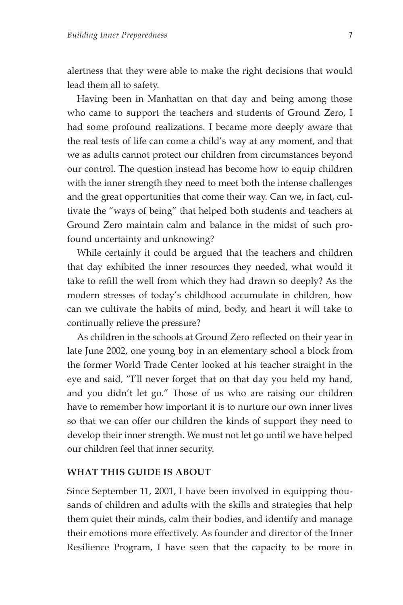alertness that they were able to make the right decisions that would lead them all to safety.

Having been in Manhattan on that day and being among those who came to support the teachers and students of Ground Zero, I had some profound realizations. I became more deeply aware that the real tests of life can come a child's way at any moment, and that we as adults cannot protect our children from circumstances beyond our control. The question instead has become how to equip children with the inner strength they need to meet both the intense challenges and the great opportunities that come their way. Can we, in fact, cultivate the "ways of being" that helped both students and teachers at Ground Zero maintain calm and balance in the midst of such profound uncertainty and unknowing?

While certainly it could be argued that the teachers and children that day exhibited the inner resources they needed, what would it take to refill the well from which they had drawn so deeply? As the modern stresses of today's childhood accumulate in children, how can we cultivate the habits of mind, body, and heart it will take to continually relieve the pressure?

As children in the schools at Ground Zero reflected on their year in late June 2002, one young boy in an elementary school a block from the former World Trade Center looked at his teacher straight in the eye and said, "I'll never forget that on that day you held my hand, and you didn't let go." Those of us who are raising our children have to remember how important it is to nurture our own inner lives so that we can offer our children the kinds of support they need to develop their inner strength. We must not let go until we have helped our children feel that inner security.

#### **WHAT THIS GUIDE IS ABOUT**

Since September 11, 2001, I have been involved in equipping thousands of children and adults with the skills and strategies that help them quiet their minds, calm their bodies, and identify and manage their emotions more effectively. As founder and director of the Inner Resilience Program, I have seen that the capacity to be more in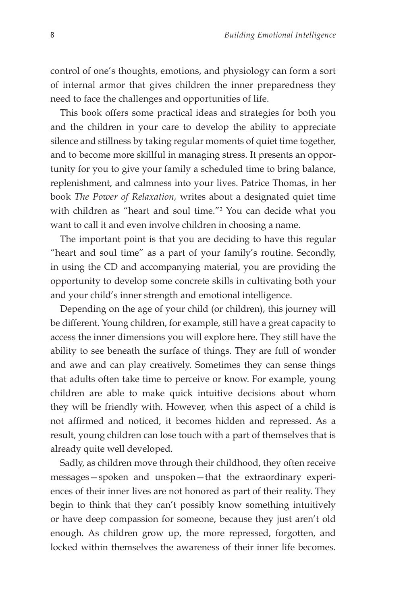control of one's thoughts, emotions, and physiology can form a sort of internal armor that gives children the inner preparedness they need to face the challenges and opportunities of life.

This book offers some practical ideas and strategies for both you and the children in your care to develop the ability to appreciate silence and stillness by taking regular moments of quiet time together, and to become more skillful in managing stress. It presents an opportunity for you to give your family a scheduled time to bring balance, replenishment, and calmness into your lives. Patrice Thomas, in her book *The Power of Relaxation,* writes about a designated quiet time with children as "heart and soul time."2 You can decide what you want to call it and even involve children in choosing a name.

The important point is that you are deciding to have this regular "heart and soul time" as a part of your family's routine. Secondly, in using the CD and accompanying material, you are providing the opportunity to develop some concrete skills in cultivating both your and your child's inner strength and emotional intelligence.

Depending on the age of your child (or children), this journey will be different. Young children, for example, still have a great capacity to access the inner dimensions you will explore here. They still have the ability to see beneath the surface of things. They are full of wonder and awe and can play creatively. Sometimes they can sense things that adults often take time to perceive or know. For example, young children are able to make quick intuitive decisions about whom they will be friendly with. However, when this aspect of a child is not affirmed and noticed, it becomes hidden and repressed. As a result, young children can lose touch with a part of themselves that is already quite well developed.

Sadly, as children move through their childhood, they often receive messages—spoken and unspoken—that the extraordinary experiences of their inner lives are not honored as part of their reality. They begin to think that they can't possibly know something intuitively or have deep compassion for someone, because they just aren't old enough. As children grow up, the more repressed, forgotten, and locked within themselves the awareness of their inner life becomes.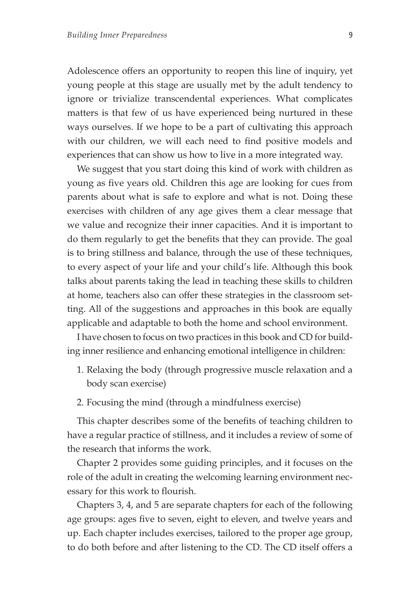Adolescence offers an opportunity to reopen this line of inquiry, yet young people at this stage are usually met by the adult tendency to ignore or trivialize transcendental experiences. What complicates matters is that few of us have experienced being nurtured in these ways ourselves. If we hope to be a part of cultivating this approach with our children, we will each need to find positive models and experiences that can show us how to live in a more integrated way.

We suggest that you start doing this kind of work with children as young as five years old. Children this age are looking for cues from parents about what is safe to explore and what is not. Doing these exercises with children of any age gives them a clear message that we value and recognize their inner capacities. And it is important to do them regularly to get the benefits that they can provide. The goal is to bring stillness and balance, through the use of these techniques, to every aspect of your life and your child's life. Although this book talks about parents taking the lead in teaching these skills to children at home, teachers also can offer these strategies in the classroom setting. All of the suggestions and approaches in this book are equally applicable and adaptable to both the home and school environment.

I have chosen to focus on two practices in this book and CD for building inner resilience and enhancing emotional intelligence in children:

- 1. Relaxing the body (through progressive muscle relaxation and a body scan exercise)
- 2. Focusing the mind (through a mindfulness exercise)

This chapter describes some of the benefits of teaching children to have a regular practice of stillness, and it includes a review of some of the research that informs the work.

Chapter 2 provides some guiding principles, and it focuses on the role of the adult in creating the welcoming learning environment necessary for this work to flourish.

Chapters 3, 4, and 5 are separate chapters for each of the following age groups: ages five to seven, eight to eleven, and twelve years and up. Each chapter includes exercises, tailored to the proper age group, to do both before and after listening to the CD. The CD itself offers a